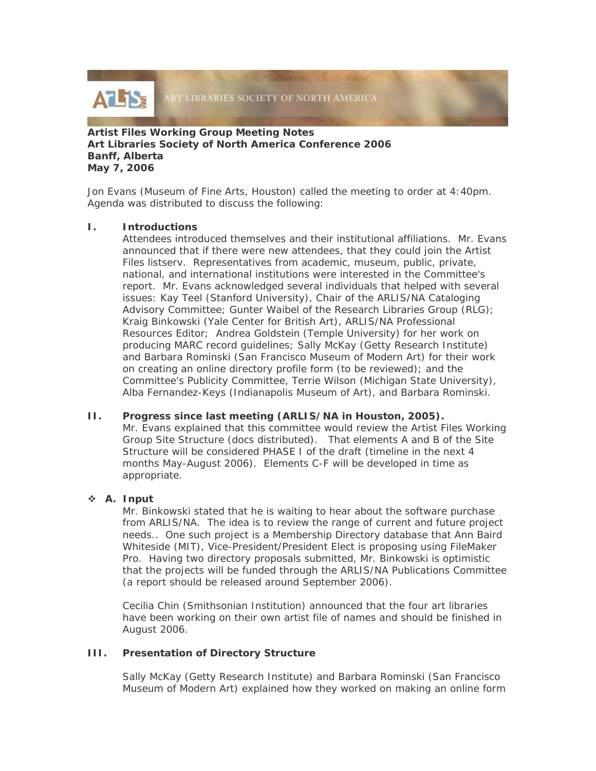

### **Artist Files Working Group Meeting Notes Art Libraries Society of North America Conference 2006 Banff, Alberta May 7, 2006**

Jon Evans (Museum of Fine Arts, Houston) called the meeting to order at 4:40pm. Agenda was distributed to discuss the following:

### **I. Introductions**

Attendees introduced themselves and their institutional affiliations. Mr. Evans announced that if there were new attendees, that they could join the Artist Files listserv. Representatives from academic, museum, public, private, national, and international institutions were interested in the Committee's report. Mr. Evans acknowledged several individuals that helped with several issues: Kay Teel (Stanford University), Chair of the ARLIS/NA Cataloging Advisory Committee; Gunter Waibel of the Research Libraries Group (RLG); Kraig Binkowski (Yale Center for British Art), ARLIS/NA Professional Resources Editor; Andrea Goldstein (Temple University) for her work on producing MARC record guidelines; Sally McKay (Getty Research Institute) and Barbara Rominski (San Francisco Museum of Modern Art) for their work on creating an online directory profile form (to be reviewed); and the Committee's Publicity Committee, Terrie Wilson (Michigan State University), Alba Fernandez-Keys (Indianapolis Museum of Art), and Barbara Rominski.

#### **II. Progress since last meeting (ARLIS/NA in Houston, 2005).**

Mr. Evans explained that this committee would review the *Artist Files Working Group Site Structure* (docs distributed). That elements A and B of the *Site Structure* will be considered PHASE I of the draft (timeline in the next 4 months May-August 2006). Elements C-F will be developed in time as appropriate.

# **A. Input**

Mr. Binkowski stated that he is waiting to hear about the software purchase from ARLIS/NA. The idea is to review the range of current and future project needs.. One such project is a Membership Directory database that Ann Baird Whiteside (MIT), Vice-President/President Elect is proposing using FileMaker Pro. Having two directory proposals submitted, Mr. Binkowski is optimistic that the projects will be funded through the ARLIS/NA Publications Committee (a report should be released around September 2006).

Cecilia Chin (Smithsonian Institution) announced that the four art libraries have been working on their own artist file of names and should be finished in August 2006.

# **III. Presentation of Directory Structure**

Sally McKay (Getty Research Institute) and Barbara Rominski (San Francisco Museum of Modern Art) explained how they worked on making an online form